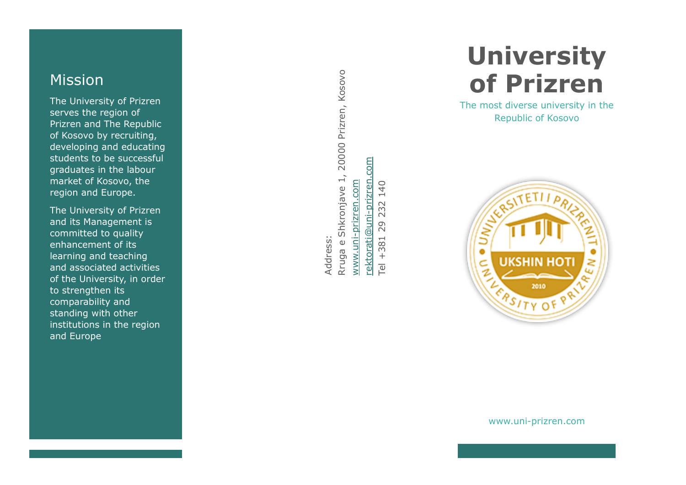## Mission

The University of Prizren serves the region of Prizren and The Republic of Kosovo by recruiting, developing and educating students to be successful graduates in the labour market of Kosovo, the region and Europe.

The University of Prizren and its Management is committed to quality enhancement of its learning and teaching and associated activities of the University, in order to strengthen its comparability and standing with other institutions in the region and Europe

20000 Prizren, Kosovo Rruga e Shkronjave 1, 20000 Prizren, Kosovo **COM** [rektorati@uni-prizren.com](mailto:rektorati@uni-prizren.com) Rruga e Shkronjave 1, rektorati@uni-prizren. www.uni-prizren.com [www.uni-prizren.com](http://www.uni-prizren.com/) 140 Tel +381 29 232 140 232 29 381 Address: Address:  $+$  $\overline{\mathbb{P}}$ 

# **University of Prizren**

The most diverse university in the Republic of Kosovo



www.uni-prizren.com